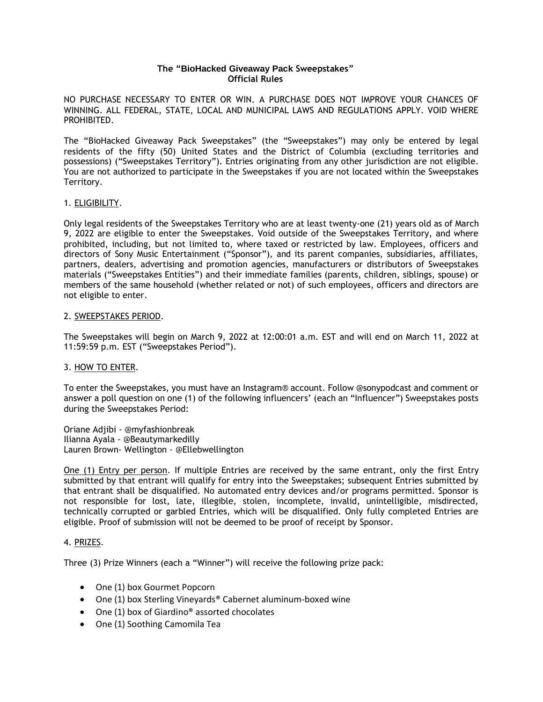## **The "BioHacked Giveaway Pack Sweepstakes" Official Rules**

NO PURCHASE NECESSARY TO ENTER OR WIN. A PURCHASE DOES NOT IMPROVE YOUR CHANCES OF WINNING. ALL FEDERAL, STATE, LOCAL AND MUNICIPAL LAWS AND REGULATIONS APPLY. VOID WHERE PROHIBITED.

The "BioHacked Giveaway Pack Sweepstakes" (the "Sweepstakes") may only be entered by legal residents of the fifty (50) United States and the District of Columbia (excluding territories and possessions) ("Sweepstakes Territory"). Entries originating from any other jurisdiction are not eligible. You are not authorized to participate in the Sweepstakes if you are not located within the Sweepstakes Territory.

## 1. ELIGIBILITY.

Only legal residents of the Sweepstakes Territory who are at least twenty-one (21) years old as of March 9, 2022 are eligible to enter the Sweepstakes. Void outside of the Sweepstakes Territory, and where prohibited, including, but not limited to, where taxed or restricted by law. Employees, officers and directors of Sony Music Entertainment ("Sponsor"), and its parent companies, subsidiaries, affiliates, partners, dealers, advertising and promotion agencies, manufacturers or distributors of Sweepstakes materials ("Sweepstakes Entities") and their immediate families (parents, children, siblings, spouse) or members of the same household (whether related or not) of such employees, officers and directors are not eligible to enter.

### 2. SWEEPSTAKES PERIOD.

The Sweepstakes will begin on March 9, 2022 at 12:00:01 a.m. EST and will end on March 11, 2022 at 11:59:59 p.m. EST ("Sweepstakes Period").

### 3. HOW TO ENTER.

To enter the Sweepstakes, you must have an Instagram® account. Follow @sonypodcast and comment or answer a poll question on one (1) of the following influencers' (each an "Influencer") Sweepstakes posts during the Sweepstakes Period:

Oriane Adjibi - @myfashionbreak Ilianna Ayala - @Beautymarkedilly Lauren Brown- Wellington - @Ellebwellington

One (1) Entry per person. If multiple Entries are received by the same entrant, only the first Entry submitted by that entrant will qualify for entry into the Sweepstakes; subsequent Entries submitted by that entrant shall be disqualified. No automated entry devices and/or programs permitted. Sponsor is not responsible for lost, late, illegible, stolen, incomplete, invalid, unintelligible, misdirected, technically corrupted or garbled Entries, which will be disqualified. Only fully completed Entries are eligible. Proof of submission will not be deemed to be proof of receipt by Sponsor.

### 4. PRIZES.

Three (3) Prize Winners (each a "Winner") will receive the following prize pack:

- One (1) box Gourmet Popcorn
- One (1) box Sterling Vineyards® Cabernet aluminum-boxed wine
- One (1) box of Giardino<sup>®</sup> assorted chocolates
- One (1) Soothing Camomila Tea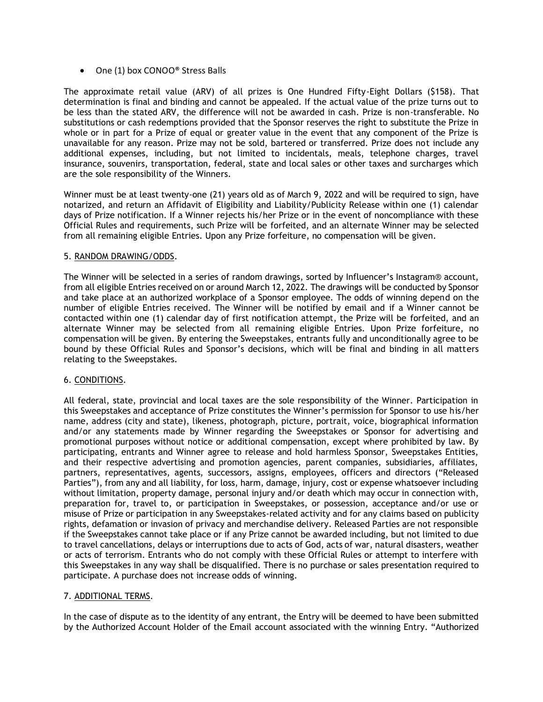• One (1) box CONOO<sup>®</sup> Stress Balls

The approximate retail value (ARV) of all prizes is One Hundred Fifty-Eight Dollars (\$158). That determination is final and binding and cannot be appealed. If the actual value of the prize turns out to be less than the stated ARV, the difference will not be awarded in cash. Prize is non-transferable. No substitutions or cash redemptions provided that the Sponsor reserves the right to substitute the Prize in whole or in part for a Prize of equal or greater value in the event that any component of the Prize is unavailable for any reason. Prize may not be sold, bartered or transferred. Prize does not include any additional expenses, including, but not limited to incidentals, meals, telephone charges, travel insurance, souvenirs, transportation, federal, state and local sales or other taxes and surcharges which are the sole responsibility of the Winners.

Winner must be at least twenty-one (21) years old as of March 9, 2022 and will be required to sign, have notarized, and return an Affidavit of Eligibility and Liability/Publicity Release within one (1) calendar days of Prize notification. If a Winner rejects his/her Prize or in the event of noncompliance with these Official Rules and requirements, such Prize will be forfeited, and an alternate Winner may be selected from all remaining eligible Entries. Upon any Prize forfeiture, no compensation will be given.

## 5. RANDOM DRAWING/ODDS.

The Winner will be selected in a series of random drawings, sorted by Influencer's Instagram® account, from all eligible Entries received on or around March 12, 2022. The drawings will be conducted by Sponsor and take place at an authorized workplace of a Sponsor employee. The odds of winning depend on the number of eligible Entries received. The Winner will be notified by email and if a Winner cannot be contacted within one (1) calendar day of first notification attempt, the Prize will be forfeited, and an alternate Winner may be selected from all remaining eligible Entries. Upon Prize forfeiture, no compensation will be given. By entering the Sweepstakes, entrants fully and unconditionally agree to be bound by these Official Rules and Sponsor's decisions, which will be final and binding in all matters relating to the Sweepstakes.

# 6. CONDITIONS.

All federal, state, provincial and local taxes are the sole responsibility of the Winner. Participation in this Sweepstakes and acceptance of Prize constitutes the Winner's permission for Sponsor to use his/her name, address (city and state), likeness, photograph, picture, portrait, voice, biographical information and/or any statements made by Winner regarding the Sweepstakes or Sponsor for advertising and promotional purposes without notice or additional compensation, except where prohibited by law. By participating, entrants and Winner agree to release and hold harmless Sponsor, Sweepstakes Entities, and their respective advertising and promotion agencies, parent companies, subsidiaries, affiliates, partners, representatives, agents, successors, assigns, employees, officers and directors ("Released Parties"), from any and all liability, for loss, harm, damage, injury, cost or expense whatsoever including without limitation, property damage, personal injury and/or death which may occur in connection with, preparation for, travel to, or participation in Sweepstakes, or possession, acceptance and/or use or misuse of Prize or participation in any Sweepstakes-related activity and for any claims based on publicity rights, defamation or invasion of privacy and merchandise delivery. Released Parties are not responsible if the Sweepstakes cannot take place or if any Prize cannot be awarded including, but not limited to due to travel cancellations, delays or interruptions due to acts of God, acts of war, natural disasters, weather or acts of terrorism. Entrants who do not comply with these Official Rules or attempt to interfere with this Sweepstakes in any way shall be disqualified. There is no purchase or sales presentation required to participate. A purchase does not increase odds of winning.

### 7. ADDITIONAL TERMS.

In the case of dispute as to the identity of any entrant, the Entry will be deemed to have been submitted by the Authorized Account Holder of the Email account associated with the winning Entry. "Authorized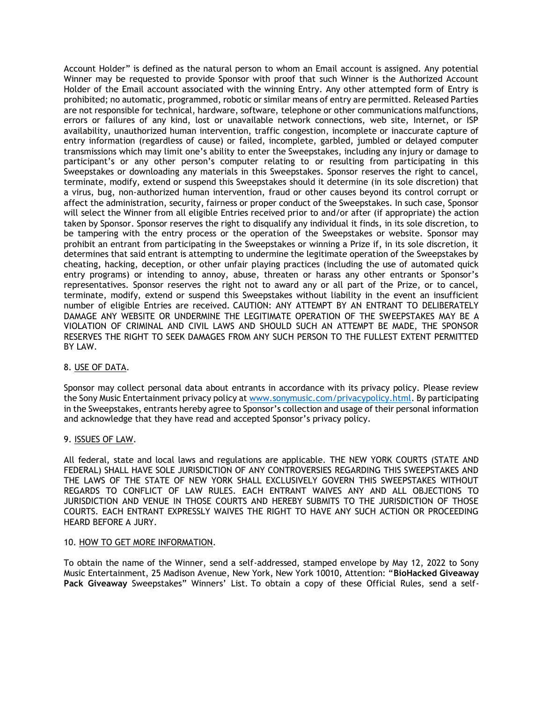Account Holder" is defined as the natural person to whom an Email account is assigned. Any potential Winner may be requested to provide Sponsor with proof that such Winner is the Authorized Account Holder of the Email account associated with the winning Entry. Any other attempted form of Entry is prohibited; no automatic, programmed, robotic or similar means of entry are permitted. Released Parties are not responsible for technical, hardware, software, telephone or other communications malfunctions, errors or failures of any kind, lost or unavailable network connections, web site, Internet, or ISP availability, unauthorized human intervention, traffic congestion, incomplete or inaccurate capture of entry information (regardless of cause) or failed, incomplete, garbled, jumbled or delayed computer transmissions which may limit one's ability to enter the Sweepstakes, including any injury or damage to participant's or any other person's computer relating to or resulting from participating in this Sweepstakes or downloading any materials in this Sweepstakes. Sponsor reserves the right to cancel, terminate, modify, extend or suspend this Sweepstakes should it determine (in its sole discretion) that a virus, bug, non-authorized human intervention, fraud or other causes beyond its control corrupt or affect the administration, security, fairness or proper conduct of the Sweepstakes. In such case, Sponsor will select the Winner from all eligible Entries received prior to and/or after (if appropriate) the action taken by Sponsor. Sponsor reserves the right to disqualify any individual it finds, in its sole discretion, to be tampering with the entry process or the operation of the Sweepstakes or website. Sponsor may prohibit an entrant from participating in the Sweepstakes or winning a Prize if, in its sole discretion, it determines that said entrant is attempting to undermine the legitimate operation of the Sweepstakes by cheating, hacking, deception, or other unfair playing practices (including the use of automated quick entry programs) or intending to annoy, abuse, threaten or harass any other entrants or Sponsor's representatives. Sponsor reserves the right not to award any or all part of the Prize, or to cancel, terminate, modify, extend or suspend this Sweepstakes without liability in the event an insufficient number of eligible Entries are received. CAUTION: ANY ATTEMPT BY AN ENTRANT TO DELIBERATELY DAMAGE ANY WEBSITE OR UNDERMINE THE LEGITIMATE OPERATION OF THE SWEEPSTAKES MAY BE A VIOLATION OF CRIMINAL AND CIVIL LAWS AND SHOULD SUCH AN ATTEMPT BE MADE, THE SPONSOR RESERVES THE RIGHT TO SEEK DAMAGES FROM ANY SUCH PERSON TO THE FULLEST EXTENT PERMITTED BY LAW.

### 8. USE OF DATA.

Sponsor may collect personal data about entrants in accordance with its privacy policy. Please review the Sony Music Entertainment privacy policy at [www.sonymusic.com/privacypolicy.html.](http://www.sonymusic.com/privacypolicy.html) By participating in the Sweepstakes, entrants hereby agree to Sponsor's collection and usage of their personal information and acknowledge that they have read and accepted Sponsor's privacy policy.

### 9. ISSUES OF LAW.

All federal, state and local laws and regulations are applicable. THE NEW YORK COURTS (STATE AND FEDERAL) SHALL HAVE SOLE JURISDICTION OF ANY CONTROVERSIES REGARDING THIS SWEEPSTAKES AND THE LAWS OF THE STATE OF NEW YORK SHALL EXCLUSIVELY GOVERN THIS SWEEPSTAKES WITHOUT REGARDS TO CONFLICT OF LAW RULES. EACH ENTRANT WAIVES ANY AND ALL OBJECTIONS TO JURISDICTION AND VENUE IN THOSE COURTS AND HEREBY SUBMITS TO THE JURISDICTION OF THOSE COURTS. EACH ENTRANT EXPRESSLY WAIVES THE RIGHT TO HAVE ANY SUCH ACTION OR PROCEEDING HEARD BEFORE A JURY.

### 10. HOW TO GET MORE INFORMATION.

To obtain the name of the Winner, send a self-addressed, stamped envelope by May 12, 2022 to Sony Music Entertainment, 25 Madison Avenue, New York, New York 10010, Attention: "**BioHacked Giveaway Pack Giveaway** Sweepstakes" Winners' List. To obtain a copy of these Official Rules, send a self